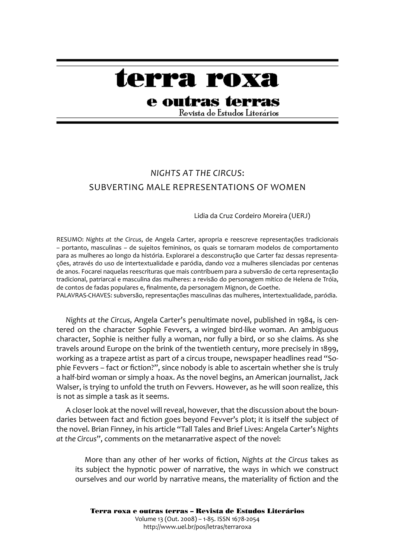# terra roxa

## e outras terras

Revista de Estudos Literários

### *Nights At The Circus*: Subverting Male Representations Of Women

#### Lidia da Cruz Cordeiro Moreira (UERJ)

RESUMO: *Nights at the Circus*, de Angela Carter, apropria e reescreve representações tradicionais – portanto, masculinas – de sujeitos femininos, os quais se tornaram modelos de comportamento para as mulheres ao longo da história. Explorarei a desconstrução que Carter faz dessas representações, através do uso de intertextualidade e paródia, dando voz a mulheres silenciadas por centenas de anos. Focarei naquelas reescrituras que mais contribuem para a subversão de certa representação tradicional, patriarcal e masculina das mulheres: a revisão do personagem mítico de Helena de Tróia, de contos de fadas populares e, finalmente, da personagem Mignon, de Goethe.

PALAVRAS-CHAVES: subversão, representações masculinas das mulheres, intertextualidade, paródia.

*Nights at the Circus*, Angela Carter's penultimate novel, published in 1984, is centered on the character Sophie Fevvers, a winged bird-like woman. An ambiguous character, Sophie is neither fully a woman, nor fully a bird, or so she claims. As she travels around Europe on the brink of the twentieth century, more precisely in 1899, working as a trapeze artist as part of a circus troupe, newspaper headlines read "Sophie Fevvers – fact or fiction?", since nobody is able to ascertain whether she is truly a half-bird woman or simply a hoax. As the novel begins, an American journalist, Jack Walser, is trying to unfold the truth on Fevvers. However, as he will soon realize, this is not as simple a task as it seems.

A closer look at the novel will reveal, however, that the discussion about the boundaries between fact and fiction goes beyond Fevver's plot; it is itself the subject of the novel. Brian Finney, in his article "Tall Tales and Brief Lives: Angela Carter's *Nights at the Circus*", comments on the metanarrative aspect of the novel:

More than any other of her works of fiction, *Nights at the Circus* takes as its subject the hypnotic power of narrative, the ways in which we construct ourselves and our world by narrative means, the materiality of fiction and the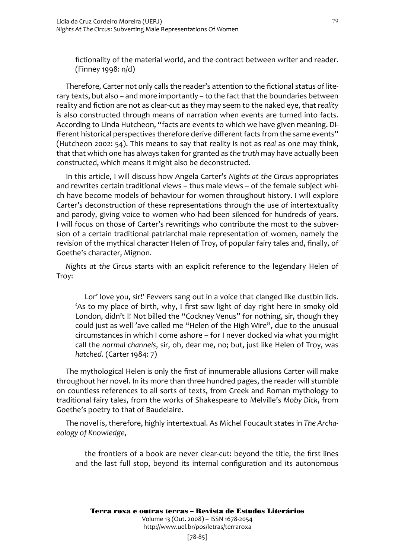fictionality of the material world, and the contract between writer and reader. (Finney 1998: n/d)

Therefore, Carter not only calls the reader's attention to the fictional status of literary texts, but also – and more importantly – to the fact that the boundaries between reality and fiction are not as clear-cut as they may seem to the naked eye, that *reality* is also constructed through means of narration when events are turned into facts. According to Linda Hutcheon, "facts are events to which we have given meaning. Different historical perspectives therefore derive different facts from the same events" (Hutcheon 2002: 54). This means to say that reality is not as *real* as one may think, that that which one has always taken for granted as *the truth* may have actually been constructed, which means it might also be deconstructed.

In this article, I will discuss how Angela Carter's *Nights at the Circus* appropriates and rewrites certain traditional views – thus male views – of the female subject which have become models of behaviour for women throughout history. I will explore Carter's deconstruction of these representations through the use of intertextuality and parody, giving voice to women who had been silenced for hundreds of years. I will focus on those of Carter's rewritings who contribute the most to the subversion of a certain traditional patriarchal male representation of women, namely the revision of the mythical character Helen of Troy, of popular fairy tales and, finally, of Goethe's character, Mignon.

*Nights at the Circus* starts with an explicit reference to the legendary Helen of Troy:

Lor' love you, sir!' Fevvers sang out in a voice that clanged like dustbin lids. 'As to my place of birth, why, I first saw light of day right here in smoky old London, didn't I! Not billed the "Cockney Venus" for nothing, sir, though they could just as well 'ave called me "Helen of the High Wire", due to the unusual circumstances in which I come ashore – for I never docked via what you might call the *normal channels*, sir, oh, dear me, no; but, just like Helen of Troy, was *hatched*. (Carter 1984: 7)

The mythological Helen is only the first of innumerable allusions Carter will make throughout her novel. In its more than three hundred pages, the reader will stumble on countless references to all sorts of texts, from Greek and Roman mythology to traditional fairy tales, from the works of Shakespeare to Melville's *Moby Dick*, from Goethe's poetry to that of Baudelaire.

The novel is, therefore, highly intertextual. As Michel Foucault states in *The Archaeology of Knowledge*,

the frontiers of a book are never clear-cut: beyond the title, the first lines and the last full stop, beyond its internal configuration and its autonomous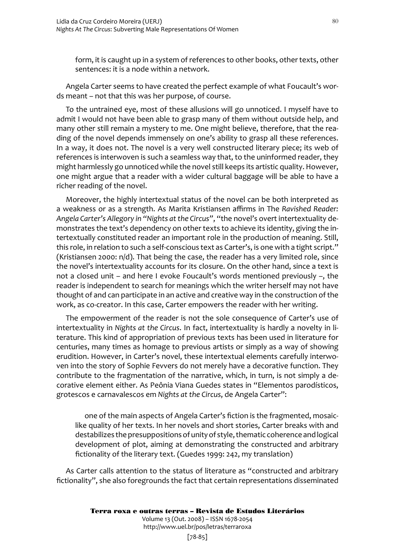form, it is caught up in a system of references to other books, other texts, other sentences: it is a node within a network.

Angela Carter seems to have created the perfect example of what Foucault's words meant – not that this was her purpose, of course.

To the untrained eye, most of these allusions will go unnoticed. I myself have to admit I would not have been able to grasp many of them without outside help, and many other still remain a mystery to me. One might believe, therefore, that the reading of the novel depends immensely on one's ability to grasp all these references. In a way, it does not. The novel is a very well constructed literary piece; its web of references is interwoven is such a seamless way that, to the uninformed reader, they might harmlessly go unnoticed while the novel still keeps its artistic quality. However, one might argue that a reader with a wider cultural baggage will be able to have a richer reading of the novel.

Moreover, the highly intertextual status of the novel can be both interpreted as a weakness or as a strength. As Marita Kristiansen affirms in The *Ravished Reader: Angela Carter's Allegory in "Nights at the Circus"*, "the novel's overt intertextuality demonstrates the text's dependency on other texts to achieve its identity, giving the intertextually constituted reader an important role in the production of meaning. Still, this role, in relation to such a self-conscious text as Carter's, is one with a tight script." (Kristiansen 2000: n/d). That being the case, the reader has a very limited role, since the novel's intertextuality accounts for its closure. On the other hand, since a text is not a closed unit – and here I evoke Foucault's words mentioned previously –, the reader is independent to search for meanings which the writer herself may not have thought of and can participate in an active and creative way in the construction of the work, as co-creator. In this case, Carter empowers the reader with her writing.

The empowerment of the reader is not the sole consequence of Carter's use of intertextuality in *Nights at the Circus*. In fact, intertextuality is hardly a novelty in literature. This kind of appropriation of previous texts has been used in literature for centuries, many times as homage to previous artists or simply as a way of showing erudition. However, in Carter's novel, these intertextual elements carefully interwoven into the story of Sophie Fevvers do not merely have a decorative function. They contribute to the fragmentation of the narrative, which, in turn, is not simply a decorative element either. As Peônia Viana Guedes states in "Elementos parodísticos, grotescos e carnavalescos em *Nights at the Circus*, de Angela Carter":

one of the main aspects of Angela Carter's fiction is the fragmented, mosaiclike quality of her texts. In her novels and short stories, Carter breaks with and destabilizes the presuppositions of unity of style, thematic coherence and logical development of plot, aiming at demonstrating the constructed and arbitrary fictionality of the literary text. (Guedes 1999: 242, my translation)

As Carter calls attention to the status of literature as "constructed and arbitrary fictionality", she also foregrounds the fact that certain representations disseminated

Volume 13 (Out. 2008) – ISSN 1678-2054 http://www.uel.br/pos/letras/terraroxa

[78-85]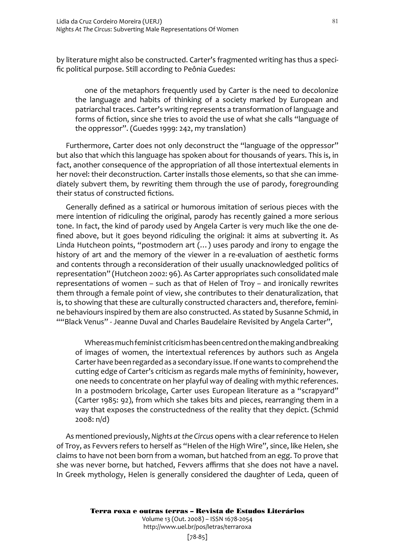by literature might also be constructed. Carter's fragmented writing has thus a specific political purpose. Still according to Peônia Guedes:

one of the metaphors frequently used by Carter is the need to decolonize the language and habits of thinking of a society marked by European and patriarchal traces. Carter's writing represents a transformation of language and forms of fiction, since she tries to avoid the use of what she calls "language of the oppressor". (Guedes 1999: 242, my translation)

Furthermore, Carter does not only deconstruct the "language of the oppressor" but also that which this language has spoken about for thousands of years. This is, in fact, another consequence of the appropriation of all those intertextual elements in her novel: their deconstruction. Carter installs those elements, so that she can immediately subvert them, by rewriting them through the use of parody, foregrounding their status of constructed fictions.

Generally defined as a satirical or humorous imitation of serious pieces with the mere intention of ridiculing the original, parody has recently gained a more serious tone. In fact, the kind of parody used by Angela Carter is very much like the one defined above, but it goes beyond ridiculing the original: it aims at subverting it. As Linda Hutcheon points, "postmodern art (...) uses parody and irony to engage the history of art and the memory of the viewer in a re-evaluation of aesthetic forms and contents through a reconsideration of their usually unacknowledged politics of representation" (Hutcheon 2002: 96). As Carter appropriates such consolidated male representations of women – such as that of Helen of Troy – and ironically rewrites them through a female point of view, she contributes to their denaturalization, that is, to showing that these are culturally constructed characters and, therefore, feminine behaviours inspired by them are also constructed. As stated by Susanne Schmid, in ""Black Venus" - Jeanne Duval and Charles Baudelaire Revisited by Angela Carter",

Whereas much feminist criticism has been centred on the making and breaking of images of women, the intertextual references by authors such as Angela Carter have been regarded as a secondary issue. If one wants to comprehend the cutting edge of Carter's criticism as regards male myths of femininity, however, one needs to concentrate on her playful way of dealing with mythic references. In a postmodern bricolage, Carter uses European literature as a "scrapyard" (Carter 1985: 92), from which she takes bits and pieces, rearranging them in a way that exposes the constructedness of the reality that they depict. (Schmid 2008: n/d)

As mentioned previously, *Nights at the Circus* opens with a clear reference to Helen of Troy, as Fevvers refers to herself as "Helen of the High Wire", since, like Helen, she claims to have not been born from a woman, but hatched from an egg. To prove that she was never borne, but hatched, Fevvers affirms that she does not have a navel. In Greek mythology, Helen is generally considered the daughter of Leda, queen of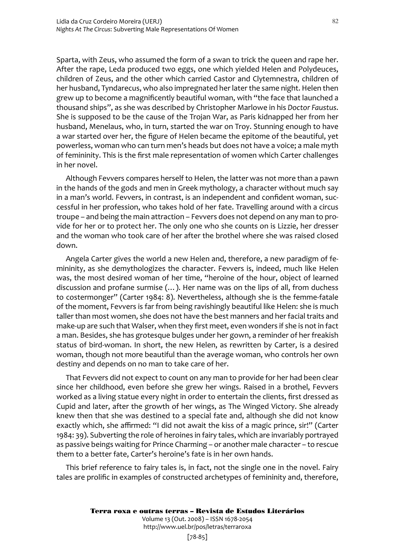Sparta, with Zeus, who assumed the form of a swan to trick the queen and rape her. After the rape, Leda produced two eggs, one which yielded Helen and Polydeuces, children of Zeus, and the other which carried Castor and Clytemnestra, children of her husband, Tyndarecus, who also impregnated her later the same night. Helen then grew up to become a magnificently beautiful woman, with "the face that launched a thousand ships", as she was described by Christopher Marlowe in his *Doctor Faustus*. She is supposed to be the cause of the Trojan War, as Paris kidnapped her from her husband, Menelaus, who, in turn, started the war on Troy. Stunning enough to have a war started over her, the figure of Helen became the epitome of the beautiful, yet powerless, woman who can turn men's heads but does not have a voice; a male myth of femininity. This is the first male representation of women which Carter challenges in her novel.

Although Fevvers compares herself to Helen, the latter was not more than a pawn in the hands of the gods and men in Greek mythology, a character without much say in a man's world. Fevvers, in contrast, is an independent and confident woman, successful in her profession, who takes hold of her fate. Travelling around with a circus troupe – and being the main attraction – Fevvers does not depend on any man to provide for her or to protect her. The only one who she counts on is Lizzie, her dresser and the woman who took care of her after the brothel where she was raised closed down.

Angela Carter gives the world a new Helen and, therefore, a new paradigm of femininity, as she demythologizes the character. Fevvers is, indeed, much like Helen was, the most desired woman of her time, "heroine of the hour, object of learned discussion and profane surmise (…). Her name was on the lips of all, from duchess to costermonger" (Carter 1984: 8). Nevertheless, although she is the femme-fatale of the moment, Fevvers is far from being ravishingly beautiful like Helen: she is much taller than most women, she does not have the best manners and her facial traits and make-up are such that Walser, when they first meet, even wonders if she is not in fact a man. Besides, she has grotesque bulges under her gown, a reminder of her freakish status of bird-woman. In short, the new Helen, as rewritten by Carter, is a desired woman, though not more beautiful than the average woman, who controls her own destiny and depends on no man to take care of her.

That Fevvers did not expect to count on any man to provide for her had been clear since her childhood, even before she grew her wings. Raised in a brothel, Fevvers worked as a living statue every night in order to entertain the clients, first dressed as Cupid and later, after the growth of her wings, as The Winged Victory. She already knew then that she was destined to a special fate and, although she did not know exactly which, she affirmed: "I did not await the kiss of a magic prince, sir!" (Carter 1984: 39). Subverting the role of heroines in fairy tales, which are invariably portrayed as passive beings waiting for Prince Charming – or another male character – to rescue them to a better fate, Carter's heroine's fate is in her own hands.

This brief reference to fairy tales is, in fact, not the single one in the novel. Fairy tales are prolific in examples of constructed archetypes of femininity and, therefore,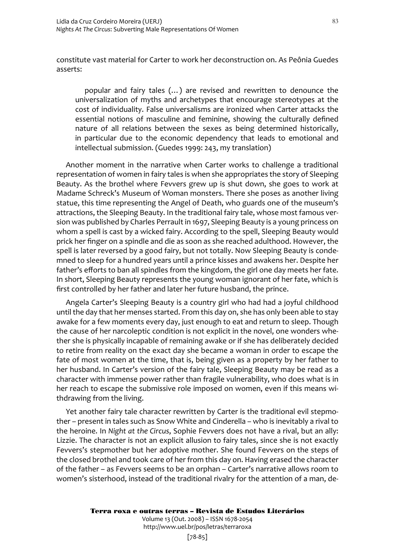constitute vast material for Carter to work her deconstruction on. As Peônia Guedes asserts:

popular and fairy tales (…) are revised and rewritten to denounce the universalization of myths and archetypes that encourage stereotypes at the cost of individuality. False universalisms are ironized when Carter attacks the essential notions of masculine and feminine, showing the culturally defined nature of all relations between the sexes as being determined historically, in particular due to the economic dependency that leads to emotional and intellectual submission. (Guedes 1999: 243, my translation)

Another moment in the narrative when Carter works to challenge a traditional representation of women in fairy tales is when she appropriates the story of Sleeping Beauty. As the brothel where Fevvers grew up is shut down, she goes to work at Madame Schreck's Museum of Woman monsters. There she poses as another living statue, this time representing the Angel of Death, who guards one of the museum's attractions, the Sleeping Beauty. In the traditional fairy tale, whose most famous version was published by Charles Perrault in 1697, Sleeping Beauty is a young princess on whom a spell is cast by a wicked fairy. According to the spell, Sleeping Beauty would prick her finger on a spindle and die as soon as she reached adulthood. However, the spell is later reversed by a good fairy, but not totally. Now Sleeping Beauty is condemned to sleep for a hundred years until a prince kisses and awakens her. Despite her father's efforts to ban all spindles from the kingdom, the girl one day meets her fate. In short, Sleeping Beauty represents the young woman ignorant of her fate, which is first controlled by her father and later her future husband, the prince.

Angela Carter's Sleeping Beauty is a country girl who had had a joyful childhood until the day that her menses started. From this day on, she has only been able to stay awake for a few moments every day, just enough to eat and return to sleep. Though the cause of her narcoleptic condition is not explicit in the novel, one wonders whether she is physically incapable of remaining awake or if she has deliberately decided to retire from reality on the exact day she became a woman in order to escape the fate of most women at the time, that is, being given as a property by her father to her husband. In Carter's version of the fairy tale, Sleeping Beauty may be read as a character with immense power rather than fragile vulnerability, who does what is in her reach to escape the submissive role imposed on women, even if this means withdrawing from the living.

Yet another fairy tale character rewritten by Carter is the traditional evil stepmother – present in tales such as Snow White and Cinderella – who is inevitably a rival to the heroine. In *Night at the Circus*, Sophie Fevvers does not have a rival, but an ally: Lizzie. The character is not an explicit allusion to fairy tales, since she is not exactly Fevvers's stepmother but her adoptive mother. She found Fevvers on the steps of the closed brothel and took care of her from this day on. Having erased the character of the father – as Fevvers seems to be an orphan – Carter's narrative allows room to women's sisterhood, instead of the traditional rivalry for the attention of a man, de-

Volume 13 (Out. 2008) – ISSN 1678-2054 http://www.uel.br/pos/letras/terraroxa

83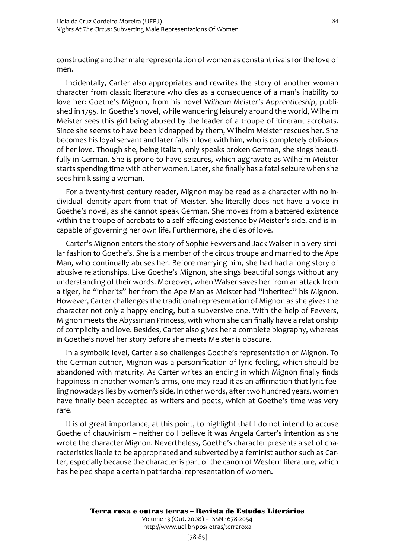constructing another male representation of women as constant rivals for the love of men.

Incidentally, Carter also appropriates and rewrites the story of another woman character from classic literature who dies as a consequence of a man's inability to love her: Goethe's Mignon, from his novel *Wilhelm Meister's Apprenticeship*, published in 1795. In Goethe's novel, while wandering leisurely around the world, Wilhelm Meister sees this girl being abused by the leader of a troupe of itinerant acrobats. Since she seems to have been kidnapped by them, Wilhelm Meister rescues her. She becomes his loyal servant and later falls in love with him, who is completely oblivious of her love. Though she, being Italian, only speaks broken German, she sings beautifully in German. She is prone to have seizures, which aggravate as Wilhelm Meister starts spending time with other women. Later, she finally has a fatal seizure when she sees him kissing a woman.

For a twenty-first century reader, Mignon may be read as a character with no individual identity apart from that of Meister. She literally does not have a voice in Goethe's novel, as she cannot speak German. She moves from a battered existence within the troupe of acrobats to a self-effacing existence by Meister's side, and is incapable of governing her own life. Furthermore, she dies of love.

Carter's Mignon enters the story of Sophie Fevvers and Jack Walser in a very similar fashion to Goethe's. She is a member of the circus troupe and married to the Ape Man, who continually abuses her. Before marrying him, she had had a long story of abusive relationships. Like Goethe's Mignon, she sings beautiful songs without any understanding of their words. Moreover, when Walser saves her from an attack from a tiger, he "inherits" her from the Ape Man as Meister had "inherited" his Mignon. However, Carter challenges the traditional representation of Mignon as she gives the character not only a happy ending, but a subversive one. With the help of Fevvers, Mignon meets the Abyssinian Princess, with whom she can finally have a relationship of complicity and love. Besides, Carter also gives her a complete biography, whereas in Goethe's novel her story before she meets Meister is obscure.

In a symbolic level, Carter also challenges Goethe's representation of Mignon. To the German author, Mignon was a personification of lyric feeling, which should be abandoned with maturity. As Carter writes an ending in which Mignon finally finds happiness in another woman's arms, one may read it as an affirmation that lyric feeling nowadays lies by women's side. In other words, after two hundred years, women have finally been accepted as writers and poets, which at Goethe's time was very rare.

It is of great importance, at this point, to highlight that I do not intend to accuse Goethe of chauvinism – neither do I believe it was Angela Carter's intention as she wrote the character Mignon. Nevertheless, Goethe's character presents a set of characteristics liable to be appropriated and subverted by a feminist author such as Carter, especially because the character is part of the canon of Western literature, which has helped shape a certain patriarchal representation of women.